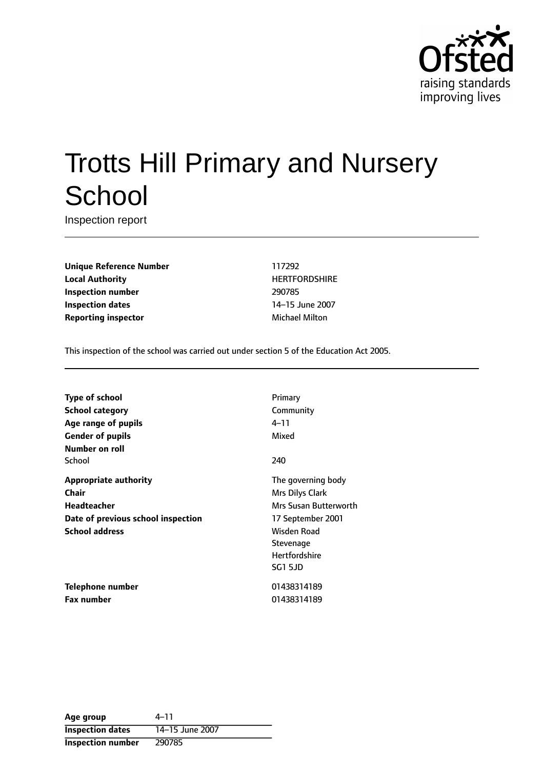

# Trotts Hill Primary and Nursery **School**

Inspection report

**Unique Reference Number** 117292 **Local Authority HERTFORDSHIRE Inspection number** 290785 **Inspection dates** 14-15 June 2007 **Reporting inspector** Michael Milton

This inspection of the school was carried out under section 5 of the Education Act 2005.

| Type of school                     | Primary               |
|------------------------------------|-----------------------|
| <b>School category</b>             | Community             |
| Age range of pupils                | 4–11                  |
| <b>Gender of pupils</b>            | Mixed                 |
| Number on roll                     |                       |
| School                             | 240                   |
| <b>Appropriate authority</b>       | The governing body    |
| <b>Chair</b>                       | Mrs Dilys Clark       |
| <b>Headteacher</b>                 | Mrs Susan Butterworth |
| Date of previous school inspection | 17 September 2001     |
| <b>School address</b>              | Wisden Road           |
|                                    | Stevenage             |
|                                    | <b>Hertfordshire</b>  |
|                                    | <b>SG1 5JD</b>        |
| Telephone number                   | 01438314189           |
| <b>Fax number</b>                  | 01438314189           |

| Age group               | $4 - 11$        |
|-------------------------|-----------------|
| <b>Inspection dates</b> | 14-15 June 2007 |
| Inspection number       | 290785          |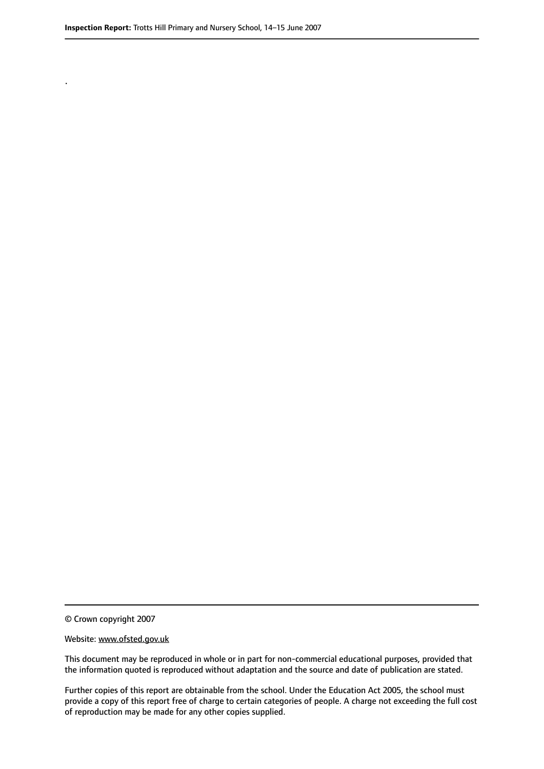.

© Crown copyright 2007

#### Website: www.ofsted.gov.uk

This document may be reproduced in whole or in part for non-commercial educational purposes, provided that the information quoted is reproduced without adaptation and the source and date of publication are stated.

Further copies of this report are obtainable from the school. Under the Education Act 2005, the school must provide a copy of this report free of charge to certain categories of people. A charge not exceeding the full cost of reproduction may be made for any other copies supplied.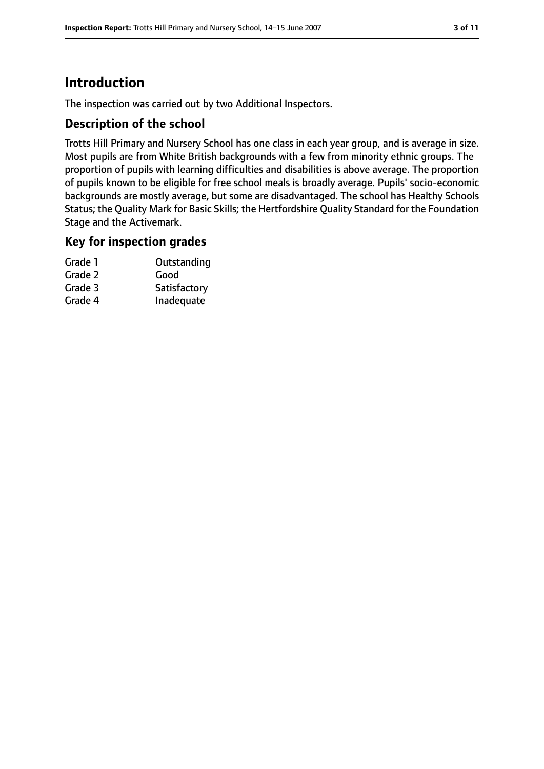# **Introduction**

The inspection was carried out by two Additional Inspectors.

## **Description of the school**

Trotts Hill Primary and Nursery School has one class in each year group, and is average in size. Most pupils are from White British backgrounds with a few from minority ethnic groups. The proportion of pupils with learning difficulties and disabilities is above average. The proportion of pupils known to be eligible for free school meals is broadly average. Pupils' socio-economic backgrounds are mostly average, but some are disadvantaged. The school has Healthy Schools Status; the Quality Mark for Basic Skills; the Hertfordshire Quality Standard for the Foundation Stage and the Activemark.

## **Key for inspection grades**

| Grade 1 | Outstanding  |
|---------|--------------|
| Grade 2 | Good         |
| Grade 3 | Satisfactory |
| Grade 4 | Inadequate   |
|         |              |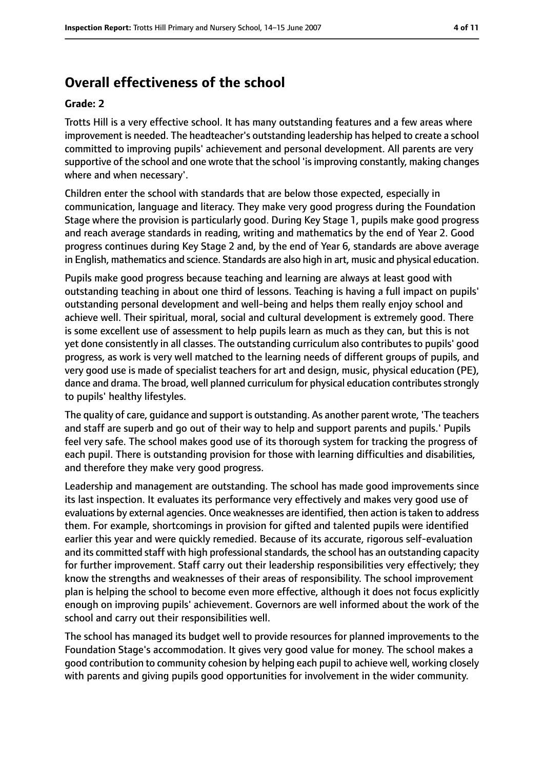# **Overall effectiveness of the school**

#### **Grade: 2**

Trotts Hill is a very effective school. It has many outstanding features and a few areas where improvement is needed. The headteacher's outstanding leadership has helped to create a school committed to improving pupils' achievement and personal development. All parents are very supportive of the school and one wrote that the school 'is improving constantly, making changes where and when necessary'.

Children enter the school with standards that are below those expected, especially in communication, language and literacy. They make very good progress during the Foundation Stage where the provision is particularly good. During Key Stage 1, pupils make good progress and reach average standards in reading, writing and mathematics by the end of Year 2. Good progress continues during Key Stage 2 and, by the end of Year 6, standards are above average in English, mathematics and science. Standards are also high in art, music and physical education.

Pupils make good progress because teaching and learning are always at least good with outstanding teaching in about one third of lessons. Teaching is having a full impact on pupils' outstanding personal development and well-being and helps them really enjoy school and achieve well. Their spiritual, moral, social and cultural development is extremely good. There is some excellent use of assessment to help pupils learn as much as they can, but this is not yet done consistently in all classes. The outstanding curriculum also contributes to pupils' good progress, as work is very well matched to the learning needs of different groups of pupils, and very good use is made of specialist teachers for art and design, music, physical education (PE), dance and drama. The broad, well planned curriculum for physical education contributesstrongly to pupils' healthy lifestyles.

The quality of care, guidance and support is outstanding. As another parent wrote, 'The teachers and staff are superb and go out of their way to help and support parents and pupils.' Pupils feel very safe. The school makes good use of its thorough system for tracking the progress of each pupil. There is outstanding provision for those with learning difficulties and disabilities, and therefore they make very good progress.

Leadership and management are outstanding. The school has made good improvements since its last inspection. It evaluates its performance very effectively and makes very good use of evaluations by external agencies. Once weaknesses are identified, then action istaken to address them. For example, shortcomings in provision for gifted and talented pupils were identified earlier this year and were quickly remedied. Because of its accurate, rigorous self-evaluation and its committed staff with high professional standards, the school has an outstanding capacity for further improvement. Staff carry out their leadership responsibilities very effectively; they know the strengths and weaknesses of their areas of responsibility. The school improvement plan is helping the school to become even more effective, although it does not focus explicitly enough on improving pupils' achievement. Governors are well informed about the work of the school and carry out their responsibilities well.

The school has managed its budget well to provide resources for planned improvements to the Foundation Stage's accommodation. It gives very good value for money. The school makes a good contribution to community cohesion by helping each pupil to achieve well, working closely with parents and giving pupils good opportunities for involvement in the wider community.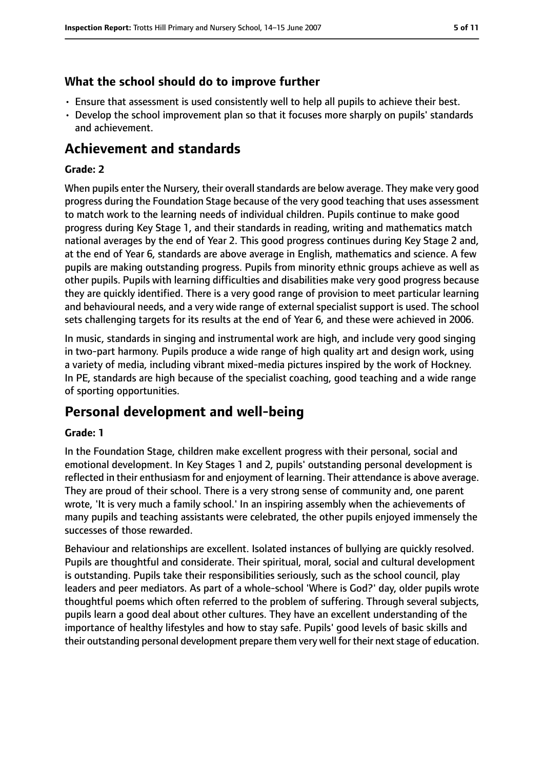## **What the school should do to improve further**

- Ensure that assessment is used consistently well to help all pupils to achieve their best.
- Develop the school improvement plan so that it focuses more sharply on pupils' standards and achievement.

# **Achievement and standards**

#### **Grade: 2**

When pupils enter the Nursery, their overall standards are below average. They make very good progress during the Foundation Stage because of the very good teaching that uses assessment to match work to the learning needs of individual children. Pupils continue to make good progress during Key Stage 1, and their standards in reading, writing and mathematics match national averages by the end of Year 2. This good progress continues during Key Stage 2 and, at the end of Year 6, standards are above average in English, mathematics and science. A few pupils are making outstanding progress. Pupils from minority ethnic groups achieve as well as other pupils. Pupils with learning difficulties and disabilities make very good progress because they are quickly identified. There is a very good range of provision to meet particular learning and behavioural needs, and a very wide range of external specialist support is used. The school sets challenging targets for its results at the end of Year 6, and these were achieved in 2006.

In music, standards in singing and instrumental work are high, and include very good singing in two-part harmony. Pupils produce a wide range of high quality art and design work, using a variety of media, including vibrant mixed-media pictures inspired by the work of Hockney. In PE, standards are high because of the specialist coaching, good teaching and a wide range of sporting opportunities.

# **Personal development and well-being**

#### **Grade: 1**

In the Foundation Stage, children make excellent progress with their personal, social and emotional development. In Key Stages 1 and 2, pupils' outstanding personal development is reflected in their enthusiasm for and enjoyment of learning. Their attendance is above average. They are proud of their school. There is a very strong sense of community and, one parent wrote, 'It is very much a family school.' In an inspiring assembly when the achievements of many pupils and teaching assistants were celebrated, the other pupils enjoyed immensely the successes of those rewarded.

Behaviour and relationships are excellent. Isolated instances of bullying are quickly resolved. Pupils are thoughtful and considerate. Their spiritual, moral, social and cultural development is outstanding. Pupils take their responsibilities seriously, such as the school council, play leaders and peer mediators. As part of a whole-school 'Where is God?' day, older pupils wrote thoughtful poems which often referred to the problem of suffering. Through several subjects, pupils learn a good deal about other cultures. They have an excellent understanding of the importance of healthy lifestyles and how to stay safe. Pupils' good levels of basic skills and their outstanding personal development prepare them very well for their next stage of education.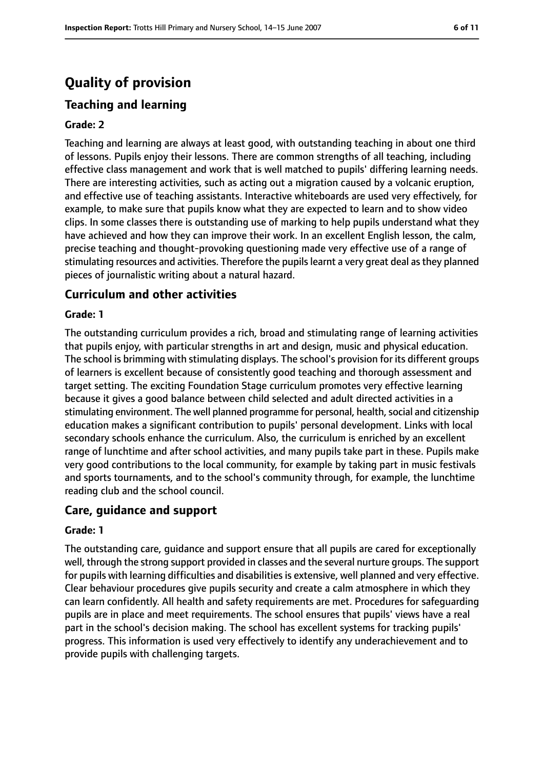# **Quality of provision**

# **Teaching and learning**

#### **Grade: 2**

Teaching and learning are always at least good, with outstanding teaching in about one third of lessons. Pupils enjoy their lessons. There are common strengths of all teaching, including effective class management and work that is well matched to pupils' differing learning needs. There are interesting activities, such as acting out a migration caused by a volcanic eruption, and effective use of teaching assistants. Interactive whiteboards are used very effectively, for example, to make sure that pupils know what they are expected to learn and to show video clips. In some classes there is outstanding use of marking to help pupils understand what they have achieved and how they can improve their work. In an excellent English lesson, the calm, precise teaching and thought-provoking questioning made very effective use of a range of stimulating resources and activities. Therefore the pupilslearnt a very great deal asthey planned pieces of journalistic writing about a natural hazard.

#### **Curriculum and other activities**

#### **Grade: 1**

The outstanding curriculum provides a rich, broad and stimulating range of learning activities that pupils enjoy, with particular strengths in art and design, music and physical education. The school is brimming with stimulating displays. The school's provision for its different groups of learners is excellent because of consistently good teaching and thorough assessment and target setting. The exciting Foundation Stage curriculum promotes very effective learning because it gives a good balance between child selected and adult directed activities in a stimulating environment. The well planned programme for personal, health, social and citizenship education makes a significant contribution to pupils' personal development. Links with local secondary schools enhance the curriculum. Also, the curriculum is enriched by an excellent range of lunchtime and after school activities, and many pupils take part in these. Pupils make very good contributions to the local community, for example by taking part in music festivals and sports tournaments, and to the school's community through, for example, the lunchtime reading club and the school council.

## **Care, guidance and support**

#### **Grade: 1**

The outstanding care, guidance and support ensure that all pupils are cared for exceptionally well, through the strong support provided in classes and the several nurture groups. The support for pupils with learning difficulties and disabilities is extensive, well planned and very effective. Clear behaviour procedures give pupils security and create a calm atmosphere in which they can learn confidently. All health and safety requirements are met. Procedures for safeguarding pupils are in place and meet requirements. The school ensures that pupils' views have a real part in the school's decision making. The school has excellent systems for tracking pupils' progress. This information is used very effectively to identify any underachievement and to provide pupils with challenging targets.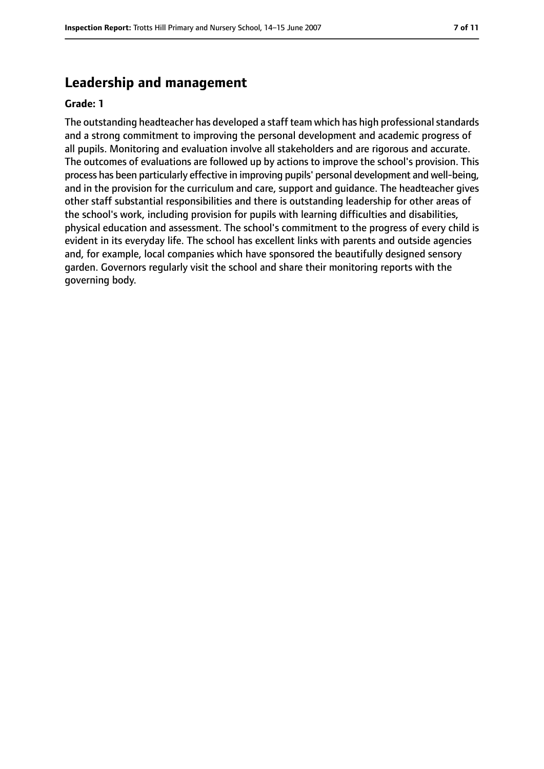# **Leadership and management**

#### **Grade: 1**

The outstanding headteacher has developed a staff team which has high professional standards and a strong commitment to improving the personal development and academic progress of all pupils. Monitoring and evaluation involve all stakeholders and are rigorous and accurate. The outcomes of evaluations are followed up by actions to improve the school's provision. This process has been particularly effective in improving pupils' personal development and well-being, and in the provision for the curriculum and care, support and guidance. The headteacher gives other staff substantial responsibilities and there is outstanding leadership for other areas of the school's work, including provision for pupils with learning difficulties and disabilities, physical education and assessment. The school's commitment to the progress of every child is evident in its everyday life. The school has excellent links with parents and outside agencies and, for example, local companies which have sponsored the beautifully designed sensory garden. Governors regularly visit the school and share their monitoring reports with the governing body.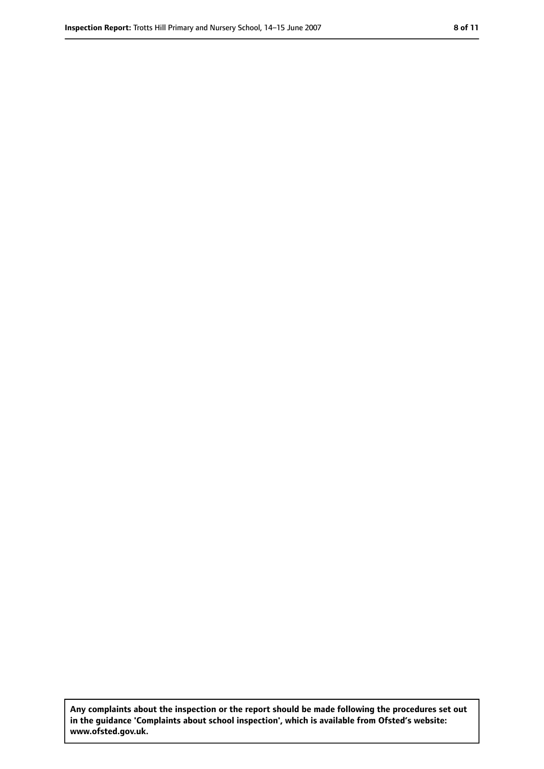**Any complaints about the inspection or the report should be made following the procedures set out in the guidance 'Complaints about school inspection', which is available from Ofsted's website: www.ofsted.gov.uk.**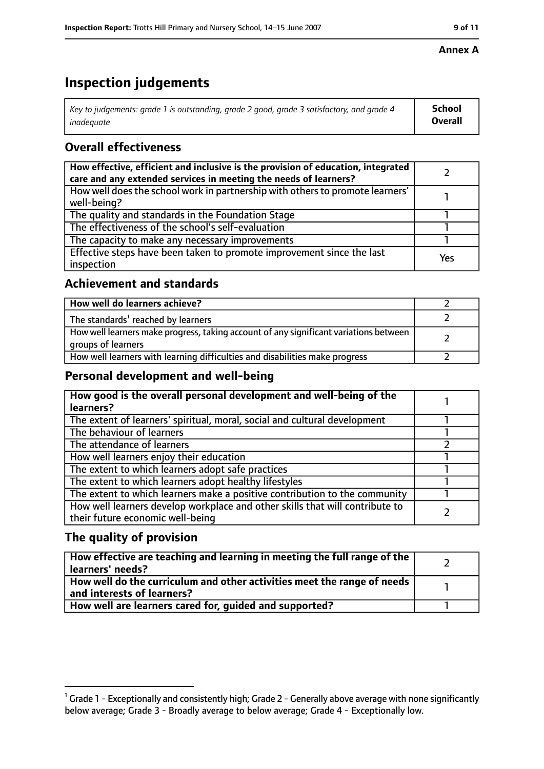#### **Inspection Report:** Trotts Hill Primary and Nursery School, 14–15 June 2007 **9 11**

### **Annex A**

# **Inspection judgements**

| Key to judgements: grade 1 is outstanding, grade 2 good, grade 3 satisfactory, and grade 4 | <b>School</b>  |
|--------------------------------------------------------------------------------------------|----------------|
| inadequate                                                                                 | <b>Overall</b> |

# **Overall effectiveness**

| How effective, efficient and inclusive is the provision of education, integrated<br>care and any extended services in meeting the needs of learners? |     |
|------------------------------------------------------------------------------------------------------------------------------------------------------|-----|
| How well does the school work in partnership with others to promote learners'<br>well-being?                                                         |     |
| The quality and standards in the Foundation Stage                                                                                                    |     |
| The effectiveness of the school's self-evaluation                                                                                                    |     |
| The capacity to make any necessary improvements                                                                                                      |     |
| Effective steps have been taken to promote improvement since the last<br>inspection                                                                  | Yes |

## **Achievement and standards**

| How well do learners achieve?                                                                               |  |
|-------------------------------------------------------------------------------------------------------------|--|
| The standards <sup>1</sup> reached by learners                                                              |  |
| How well learners make progress, taking account of any significant variations between<br>groups of learners |  |
| How well learners with learning difficulties and disabilities make progress                                 |  |

## **Personal development and well-being**

| How good is the overall personal development and well-being of the<br>learners?                                  |  |
|------------------------------------------------------------------------------------------------------------------|--|
| The extent of learners' spiritual, moral, social and cultural development                                        |  |
| The behaviour of learners                                                                                        |  |
| The attendance of learners                                                                                       |  |
| How well learners enjoy their education                                                                          |  |
| The extent to which learners adopt safe practices                                                                |  |
| The extent to which learners adopt healthy lifestyles                                                            |  |
| The extent to which learners make a positive contribution to the community                                       |  |
| How well learners develop workplace and other skills that will contribute to<br>their future economic well-being |  |

# **The quality of provision**

| $\mid$ How effective are teaching and learning in meeting the full range of the $\mid$<br>  learners' needs?               |  |
|----------------------------------------------------------------------------------------------------------------------------|--|
| $\mid$ How well do the curriculum and other activities meet the range of needs $\mid$<br>$\mid$ and interests of learners? |  |
| How well are learners cared for, quided and supported?                                                                     |  |

 $^1$  Grade 1 - Exceptionally and consistently high; Grade 2 - Generally above average with none significantly below average; Grade 3 - Broadly average to below average; Grade 4 - Exceptionally low.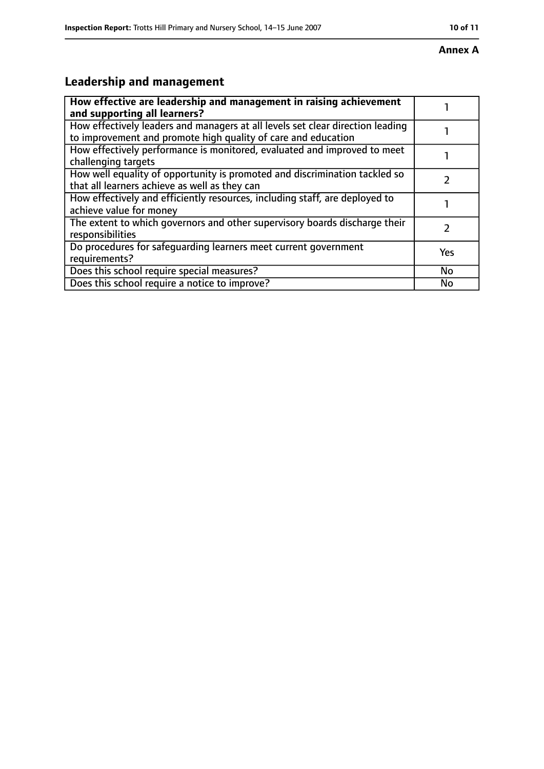#### **Annex A**

# **Leadership and management**

| How effective are leadership and management in raising achievement<br>and supporting all learners?                                              |           |
|-------------------------------------------------------------------------------------------------------------------------------------------------|-----------|
| How effectively leaders and managers at all levels set clear direction leading<br>to improvement and promote high quality of care and education |           |
| How effectively performance is monitored, evaluated and improved to meet<br>challenging targets                                                 |           |
| How well equality of opportunity is promoted and discrimination tackled so<br>that all learners achieve as well as they can                     |           |
| How effectively and efficiently resources, including staff, are deployed to<br>achieve value for money                                          |           |
| The extent to which governors and other supervisory boards discharge their<br>responsibilities                                                  |           |
| Do procedures for safeguarding learners meet current government<br>requirements?                                                                | Yes       |
| Does this school require special measures?                                                                                                      | <b>No</b> |
| Does this school require a notice to improve?                                                                                                   | No        |